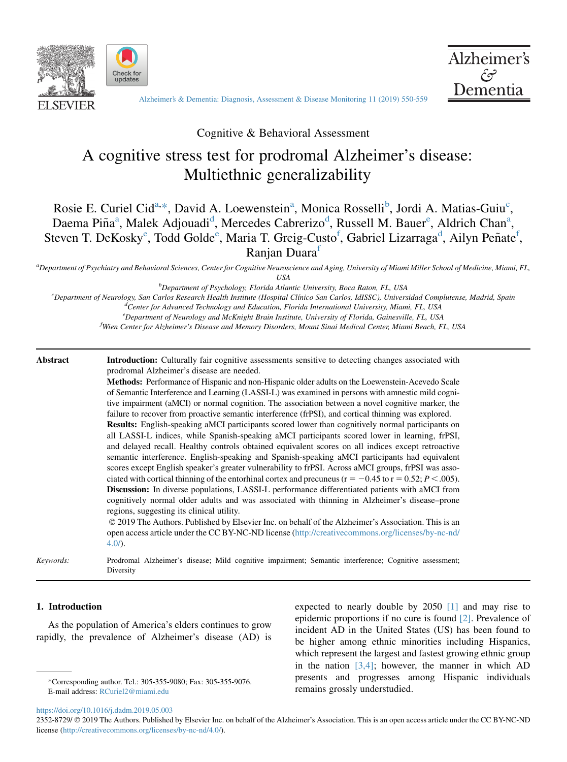





[Alzheimer's & Dementia: Diagnosis, Assessment & Disease Monitoring 11 \(2019\) 550-559](https://doi.org/10.1016/j.dadm.2019.05.003)

Cognitive & Behavioral Assessment

# A cognitive stress test for prodromal Alzheimer's disease: Multiethnic generalizability

Rosie E. Curiel Cid<sup>a,\*</sup>, David A. Loewenstein<sup>a</sup>, Monica Rosselli<sup>b</sup>, Jordi A. Matias-Guiu<sup>c</sup>, Daema Piña<sup>a</sup>, Malek Adjouadi<sup>d</sup>, Mercedes Cabrerizo<sup>d</sup>, Russell M. Bauer<sup>e</sup>, Aldrich Chan<sup>a</sup>, Steven T. DeKosky<sup>e</sup>, Todd Golde<sup>e</sup>, Maria T. Greig-Custo<sup>f</sup>, Gabriel Lizarraga<sup>d</sup>, Ailyn Peñate<sup>f</sup>, Ranjan Duara<sup>t</sup>

a Department of Psychiatry and Behavioral Sciences, Center for Cognitive Neuroscience and Aging, University of Miami Miller School of Medicine, Miami, FL, USA<br><sup>b</sup>Department of Psychology, Elorida Atlas

Department of Psychology, Florida Atlantic University, Boca Raton, FL, USA<br>CDepartment of Neurology, San Carlos Basearch Health Institute (Hospital Clínico San Carlos IdISSC), Univers Department of Neurology, San Carlos Research Health Institute (Hospital Clínico San Carlos, IdISSC), Universidad Complutense, Madrid, Spain

<sup>d</sup>Center for Advanced Technology and Education, Florida International University, Miami, FL, USA

<sup>e</sup> Department of Neurology and McKnight Brain Institute, University of Florida, Gainesville, FL, USA

f Wien Center for Alzheimer's Disease and Memory Disorders, Mount Sinai Medical Center, Miami Beach, FL, USA

Abstract Introduction: Culturally fair cognitive assessments sensitive to detecting changes associated with prodromal Alzheimer's disease are needed.

Methods: Performance of Hispanic and non-Hispanic older adults on the Loewenstein-Acevedo Scale of Semantic Interference and Learning (LASSI-L) was examined in persons with amnestic mild cognitive impairment (aMCI) or normal cognition. The association between a novel cognitive marker, the failure to recover from proactive semantic interference (frPSI), and cortical thinning was explored. Results: English-speaking aMCI participants scored lower than cognitively normal participants on all LASSI-L indices, while Spanish-speaking aMCI participants scored lower in learning, frPSI, and delayed recall. Healthy controls obtained equivalent scores on all indices except retroactive semantic interference. English-speaking and Spanish-speaking aMCI participants had equivalent scores except English speaker's greater vulnerability to frPSI. Across aMCI groups, frPSI was associated with cortical thinning of the entorhinal cortex and precuneus ( $r = -0.45$  to  $r = 0.52$ ;  $P < .005$ ). Discussion: In diverse populations, LASSI-L performance differentiated patients with aMCI from cognitively normal older adults and was associated with thinning in Alzheimer's disease–prone

 2019 The Authors. Published by Elsevier Inc. on behalf of the Alzheimer's Association. This is an open access article under the CC BY-NC-ND license ([http://creativecommons.org/licenses/by-nc-nd/](http://creativecommons.org/licenses/by-nc-nd/4.0/) [4.0/](http://creativecommons.org/licenses/by-nc-nd/4.0/)).

Keywords: Prodromal Alzheimer's disease; Mild cognitive impairment; Semantic interference; Cognitive assessment; Diversity

## 1. Introduction

As the population of America's elders continues to grow rapidly, the prevalence of Alzheimer's disease (AD) is

regions, suggesting its clinical utility.

expected to nearly double by 2050 [\[1\]](#page-8-0) and may rise to epidemic proportions if no cure is found [\[2\].](#page-8-0) Prevalence of incident AD in the United States (US) has been found to be higher among ethnic minorities including Hispanics, which represent the largest and fastest growing ethnic group in the nation  $[3,4]$ ; however, the manner in which AD presents and progresses among Hispanic individuals

<https://doi.org/10.1016/j.dadm.2019.05.003>

remains grossly understudied. \*Corresponding author. Tel.: 305-355-9080; Fax: 305-355-9076. E-mail address: [RCuriel2@miami.edu](mailto:RCuriel2@miami.edu)

<sup>2352-8729/</sup>  $\odot$  2019 The Authors. Published by Elsevier Inc. on behalf of the Alzheimer's Association. This is an open access article under the CC BY-NC-ND license ([http://creativecommons.org/licenses/by-nc-nd/4.0/\)](http://creativecommons.org/licenses/by-nc-nd/4.0/).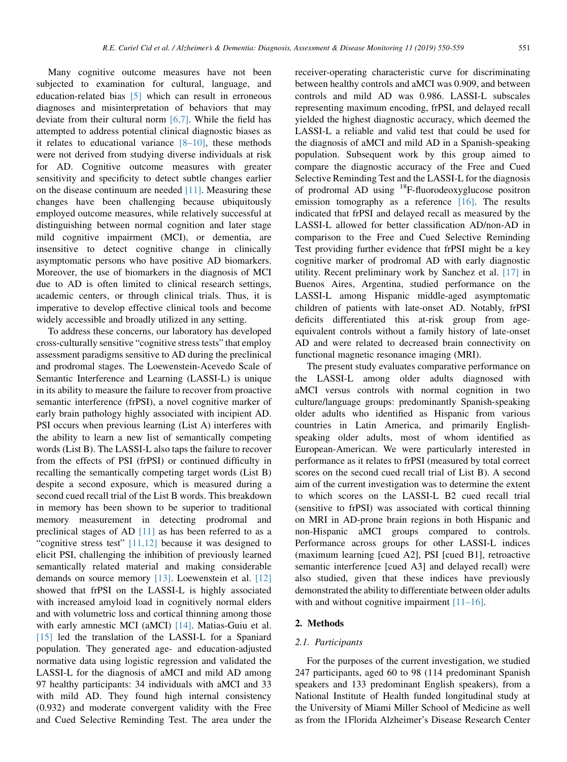Many cognitive outcome measures have not been subjected to examination for cultural, language, and education-related bias [\[5\]](#page-8-0) which can result in erroneous diagnoses and misinterpretation of behaviors that may deviate from their cultural norm  $[6,7]$ . While the field has attempted to address potential clinical diagnostic biases as it relates to educational variance  $[8-10]$ , these methods were not derived from studying diverse individuals at risk for AD. Cognitive outcome measures with greater sensitivity and specificity to detect subtle changes earlier on the disease continuum are needed  $[11]$ . Measuring these changes have been challenging because ubiquitously employed outcome measures, while relatively successful at distinguishing between normal cognition and later stage mild cognitive impairment (MCI), or dementia, are insensitive to detect cognitive change in clinically asymptomatic persons who have positive AD biomarkers. Moreover, the use of biomarkers in the diagnosis of MCI due to AD is often limited to clinical research settings, academic centers, or through clinical trials. Thus, it is imperative to develop effective clinical tools and become widely accessible and broadly utilized in any setting.

To address these concerns, our laboratory has developed cross-culturally sensitive "cognitive stress tests" that employ assessment paradigms sensitive to AD during the preclinical and prodromal stages. The Loewenstein-Acevedo Scale of Semantic Interference and Learning (LASSI-L) is unique in its ability to measure the failure to recover from proactive semantic interference (frPSI), a novel cognitive marker of early brain pathology highly associated with incipient AD. PSI occurs when previous learning (List A) interferes with the ability to learn a new list of semantically competing words (List B). The LASSI-L also taps the failure to recover from the effects of PSI (frPSI) or continued difficulty in recalling the semantically competing target words (List B) despite a second exposure, which is measured during a second cued recall trial of the List B words. This breakdown in memory has been shown to be superior to traditional memory measurement in detecting prodromal and preclinical stages of AD [\[11\]](#page-8-0) as has been referred to as a "cognitive stress test" [\[11,12\]](#page-8-0) because it was designed to elicit PSI, challenging the inhibition of previously learned semantically related material and making considerable demands on source memory [\[13\].](#page-8-0) Loewenstein et al. [\[12\]](#page-8-0) showed that frPSI on the LASSI-L is highly associated with increased amyloid load in cognitively normal elders and with volumetric loss and cortical thinning among those with early amnestic MCI (aMCI) [\[14\].](#page-8-0) Matias-Guiu et al. [\[15\]](#page-8-0) led the translation of the LASSI-L for a Spaniard population. They generated age- and education-adjusted normative data using logistic regression and validated the LASSI-L for the diagnosis of aMCI and mild AD among 97 healthy participants: 34 individuals with aMCI and 33 with mild AD. They found high internal consistency (0.932) and moderate convergent validity with the Free and Cued Selective Reminding Test. The area under the

receiver-operating characteristic curve for discriminating between healthy controls and aMCI was 0.909, and between controls and mild AD was 0.986. LASSI-L subscales representing maximum encoding, frPSI, and delayed recall yielded the highest diagnostic accuracy, which deemed the LASSI-L a reliable and valid test that could be used for the diagnosis of aMCI and mild AD in a Spanish-speaking population. Subsequent work by this group aimed to compare the diagnostic accuracy of the Free and Cued Selective Reminding Test and the LASSI-L for the diagnosis of prodromal AD using 18F-fluorodeoxyglucose positron emission tomography as a reference [\[16\]](#page-8-0). The results indicated that frPSI and delayed recall as measured by the LASSI-L allowed for better classification AD/non-AD in comparison to the Free and Cued Selective Reminding Test providing further evidence that frPSI might be a key cognitive marker of prodromal AD with early diagnostic utility. Recent preliminary work by Sanchez et al. [\[17\]](#page-8-0) in Buenos Aires, Argentina, studied performance on the LASSI-L among Hispanic middle-aged asymptomatic children of patients with late-onset AD. Notably, frPSI deficits differentiated this at-risk group from ageequivalent controls without a family history of late-onset AD and were related to decreased brain connectivity on functional magnetic resonance imaging (MRI).

The present study evaluates comparative performance on the LASSI-L among older adults diagnosed with aMCI versus controls with normal cognition in two culture/language groups: predominantly Spanish-speaking older adults who identified as Hispanic from various countries in Latin America, and primarily Englishspeaking older adults, most of whom identified as European-American. We were particularly interested in performance as it relates to frPSI (measured by total correct scores on the second cued recall trial of List B). A second aim of the current investigation was to determine the extent to which scores on the LASSI-L B2 cued recall trial (sensitive to frPSI) was associated with cortical thinning on MRI in AD-prone brain regions in both Hispanic and non-Hispanic aMCI groups compared to controls. Performance across groups for other LASSI-L indices (maximum learning [cued A2], PSI [cued B1], retroactive semantic interference [cued A3] and delayed recall) were also studied, given that these indices have previously demonstrated the ability to differentiate between older adults with and without cognitive impairment [\[11–16\].](#page-8-0)

### 2. Methods

#### 2.1. Participants

For the purposes of the current investigation, we studied 247 participants, aged 60 to 98 (114 predominant Spanish speakers and 133 predominant English speakers), from a National Institute of Health funded longitudinal study at the University of Miami Miller School of Medicine as well as from the 1Florida Alzheimer's Disease Research Center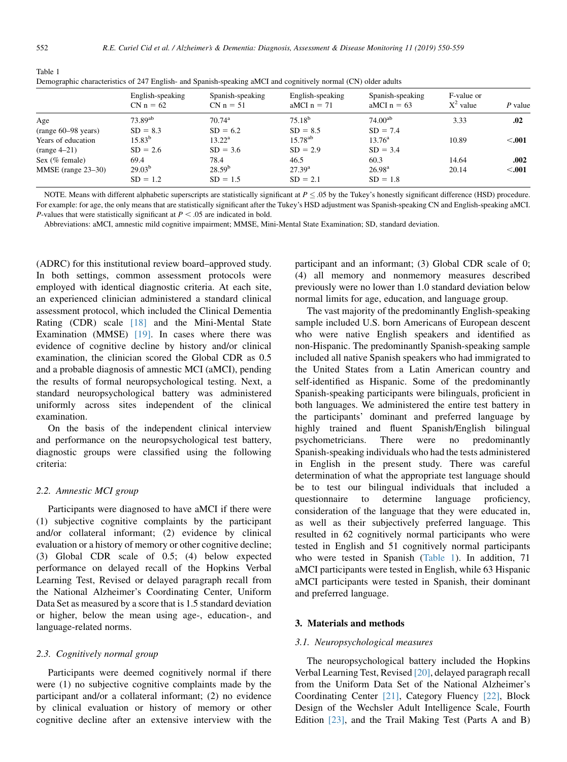|                         | English-speaking<br>$CN n = 62$ | Spanish-speaking<br>$CN n = 51$ | English-speaking<br>aMCI $n = 71$ | Spanish-speaking<br>aMCI $n = 63$ | F-value or<br>$X^2$ value | P value |
|-------------------------|---------------------------------|---------------------------------|-----------------------------------|-----------------------------------|---------------------------|---------|
| Age                     | 73.89 <sup>ab</sup>             | $70.74^{\rm a}$                 | $75.18^{b}$                       | $74.00^{ab}$                      | 3.33                      | .02     |
| $(range 60-98 years)$   | $SD = 8.3$                      | $SD = 6.2$                      | $SD = 8.5$                        | $SD = 7.4$                        |                           |         |
| Years of education      | $15.83^{b}$                     | $13.22^{\rm a}$                 | $15.78^{ab}$                      | $13.76^{\rm a}$                   | 10.89                     | < .001  |
| $(range 4-21)$          | $SD = 2.6$                      | $SD = 3.6$                      | $SD = 2.9$                        | $SD = 3.4$                        |                           |         |
| Sex $(\%$ female)       | 69.4                            | 78.4                            | 46.5                              | 60.3                              | 14.64                     | .002    |
| $MMSE$ (range $23-30$ ) | $29.03^{b}$                     | 28.59 <sup>b</sup>              | $27.39^{a}$                       | 26.98 <sup>a</sup>                | 20.14                     | < .001  |
|                         | $SD = 1.2$                      | $SD = 1.5$                      | $SD = 2.1$                        | $SD = 1.8$                        |                           |         |

<span id="page-2-0"></span>Table 1 Demographic characteristics of 247 English- and Spanish-speaking aMCI and cognitively normal (CN) older adults

NOTE. Means with different alphabetic superscripts are statistically significant at  $P \le 0.05$  by the Tukey's honestly significant difference (HSD) procedure. For example: for age, the only means that are statistically significant after the Tukey's HSD adjustment was Spanish-speaking CN and English-speaking aMCI. P-values that were statistically significant at  $P < .05$  are indicated in bold.

Abbreviations: aMCI, amnestic mild cognitive impairment; MMSE, Mini-Mental State Examination; SD, standard deviation.

(ADRC) for this institutional review board–approved study. In both settings, common assessment protocols were employed with identical diagnostic criteria. At each site, an experienced clinician administered a standard clinical assessment protocol, which included the Clinical Dementia Rating (CDR) scale [\[18\]](#page-8-0) and the Mini-Mental State Examination (MMSE) [\[19\]](#page-8-0). In cases where there was evidence of cognitive decline by history and/or clinical examination, the clinician scored the Global CDR as 0.5 and a probable diagnosis of amnestic MCI (aMCI), pending the results of formal neuropsychological testing. Next, a standard neuropsychological battery was administered uniformly across sites independent of the clinical examination.

On the basis of the independent clinical interview and performance on the neuropsychological test battery, diagnostic groups were classified using the following criteria:

### 2.2. Amnestic MCI group

Participants were diagnosed to have aMCI if there were (1) subjective cognitive complaints by the participant and/or collateral informant; (2) evidence by clinical evaluation or a history of memory or other cognitive decline; (3) Global CDR scale of 0.5; (4) below expected performance on delayed recall of the Hopkins Verbal Learning Test, Revised or delayed paragraph recall from the National Alzheimer's Coordinating Center, Uniform Data Set as measured by a score that is 1.5 standard deviation or higher, below the mean using age-, education-, and language-related norms.

## 2.3. Cognitively normal group

Participants were deemed cognitively normal if there were (1) no subjective cognitive complaints made by the participant and/or a collateral informant; (2) no evidence by clinical evaluation or history of memory or other cognitive decline after an extensive interview with the participant and an informant; (3) Global CDR scale of 0; (4) all memory and nonmemory measures described previously were no lower than 1.0 standard deviation below normal limits for age, education, and language group.

The vast majority of the predominantly English-speaking sample included U.S. born Americans of European descent who were native English speakers and identified as non-Hispanic. The predominantly Spanish-speaking sample included all native Spanish speakers who had immigrated to the United States from a Latin American country and self-identified as Hispanic. Some of the predominantly Spanish-speaking participants were bilinguals, proficient in both languages. We administered the entire test battery in the participants' dominant and preferred language by highly trained and fluent Spanish/English bilingual psychometricians. There were no predominantly Spanish-speaking individuals who had the tests administered in English in the present study. There was careful determination of what the appropriate test language should be to test our bilingual individuals that included a questionnaire to determine language proficiency, consideration of the language that they were educated in, as well as their subjectively preferred language. This resulted in 62 cognitively normal participants who were tested in English and 51 cognitively normal participants who were tested in Spanish (Table 1). In addition, 71 aMCI participants were tested in English, while 63 Hispanic aMCI participants were tested in Spanish, their dominant and preferred language.

#### 3. Materials and methods

#### 3.1. Neuropsychological measures

The neuropsychological battery included the Hopkins Verbal Learning Test, Revised [\[20\]](#page-8-0), delayed paragraph recall from the Uniform Data Set of the National Alzheimer's Coordinating Center [\[21\],](#page-8-0) Category Fluency [\[22\],](#page-8-0) Block Design of the Wechsler Adult Intelligence Scale, Fourth Edition [\[23\]](#page-8-0), and the Trail Making Test (Parts A and B)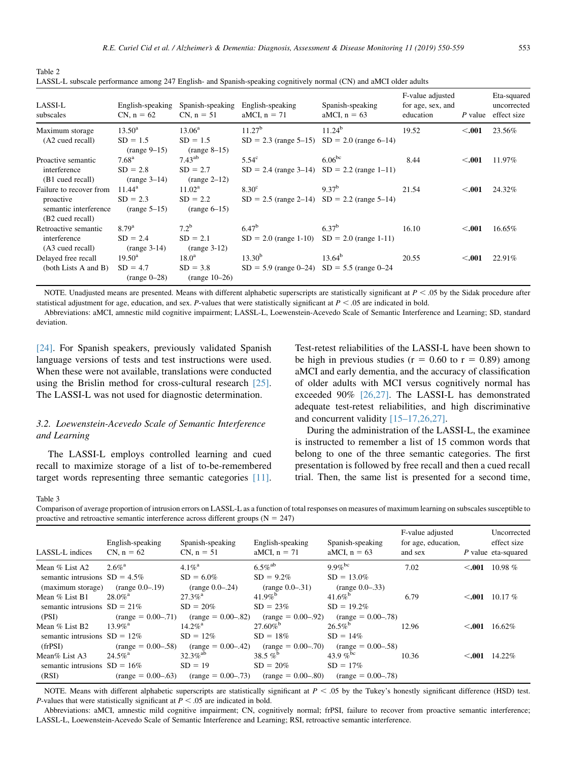<span id="page-3-0"></span>

| Table 2                                                                                                            |  |
|--------------------------------------------------------------------------------------------------------------------|--|
| LASSL-L subscale performance among 247 English- and Spanish-speaking cognitively normal (CN) and aMCI older adults |  |

| LASSI-L<br>subscales                                                                                  | English-speaking<br>$CN. n = 62$                                  | Spanish-speaking<br>$CN. n = 51$                                     | English-speaking<br>aMCI, $n = 71$           | Spanish-speaking<br>aMCI, $n = 63$           | F-value adjusted<br>for age, sex, and<br>education | P value | Eta-squared<br>uncorrected<br>effect size |
|-------------------------------------------------------------------------------------------------------|-------------------------------------------------------------------|----------------------------------------------------------------------|----------------------------------------------|----------------------------------------------|----------------------------------------------------|---------|-------------------------------------------|
| Maximum storage<br>(A2 cued recall)                                                                   | $13.50^{\rm a}$<br>$SD = 1.5$                                     | $13.06^{\rm a}$<br>$SD = 1.5$                                        | $11.27^b$<br>$SD = 2.3$ (range 5–15)         | $11.24^b$<br>$SD = 2.0$ (range 6–14)         | 19.52                                              | < .001  | 23.56%                                    |
| Proactive semantic<br>interference                                                                    | $(range9-15)$<br>$7.68^{\rm a}$<br>$SD = 2.8$                     | $(range 8-15)$<br>$7.43^{ab}$<br>$SD = 2.7$                          | $5.54^{\circ}$<br>$SD = 2.4$ (range 3–14)    | $6.06^{bc}$<br>$SD = 2.2$ (range 1–11)       | 8.44                                               | < .001  | 11.97%                                    |
| (B1 cued recall)<br>Failure to recover from<br>proactive<br>semantic interference<br>(B2 cued recall) | $(range 3-14)$<br>$11.44^{\rm a}$<br>$SD = 2.3$<br>$(range 5-15)$ | $(range 2-12)$<br>$11.02^{\rm a}$<br>$SD = 2.2$<br>$(range 6-15)$    | 8.30 <sup>c</sup><br>$SD = 2.5$ (range 2–14) | 9.37 <sup>b</sup><br>$SD = 2.2$ (range 5–14) | 21.54                                              | < .001  | 24.32%                                    |
| Retroactive semantic<br>interference                                                                  | $8.79^{a}$<br>$SD = 2.4$                                          | $7.2^b$<br>$SD = 2.1$                                                | 6.47 <sup>b</sup><br>$SD = 2.0$ (range 1-10) | $6.37^{b}$<br>$SD = 2.0$ (range 1-11)        | 16.10                                              | < .001  | 16.65%                                    |
| (A3 cued recall)<br>Delayed free recall<br>(both Lists A and B)                                       | $(range 3-14)$<br>$19.50^{\rm a}$<br>$SD = 4.7$<br>$(range 0-28)$ | $(range 3-12)$<br>18.0 <sup>a</sup><br>$SD = 3.8$<br>$(range 10-26)$ | $13.30^{b}$<br>$SD = 5.9$ (range 0-24)       | $13.64^b$<br>$SD = 5.5$ (range 0-24)         | 20.55                                              | < .001  | 22.91%                                    |

NOTE. Unadjusted means are presented. Means with different alphabetic superscripts are statistically significant at  $P < .05$  by the Sidak procedure after statistical adjustment for age, education, and sex. P-values that were statistically significant at  $P < .05$  are indicated in bold.

Abbreviations: aMCI, amnestic mild cognitive impairment; LASSL-L, Loewenstein-Acevedo Scale of Semantic Interference and Learning; SD, standard deviation.

[\[24\].](#page-8-0) For Spanish speakers, previously validated Spanish language versions of tests and test instructions were used. When these were not available, translations were conducted using the Brislin method for cross-cultural research [\[25\].](#page-8-0) The LASSI-L was not used for diagnostic determination.

## 3.2. Loewenstein-Acevedo Scale of Semantic Interference and Learning

The LASSI-L employs controlled learning and cued recall to maximize storage of a list of to-be-remembered target words representing three semantic categories [\[11\].](#page-8-0) Test-retest reliabilities of the LASSI-L have been shown to be high in previous studies ( $r = 0.60$  to  $r = 0.89$ ) among aMCI and early dementia, and the accuracy of classification of older adults with MCI versus cognitively normal has exceeded 90% [\[26,27\]](#page-8-0). The LASSI-L has demonstrated adequate test-retest reliabilities, and high discriminative and concurrent validity [\[15–17,26,27\].](#page-8-0)

During the administration of the LASSI-L, the examinee is instructed to remember a list of 15 common words that belong to one of the three semantic categories. The first presentation is followed by free recall and then a cued recall trial. Then, the same list is presented for a second time,

#### Table 3

Comparison of average proportion of intrusion errors on LASSL-L as a function of total responses on measures of maximum learning on subscales susceptible to proactive and retroactive semantic interference across different groups ( $N = 247$ )

| LASSL-L indices                                                         | English-speaking<br>$CN. n = 62$           | Spanish-speaking<br>$CN. n = 51$                            | English-speaking<br>aMCI, $n = 71$                         | Spanish-speaking<br>aMCI, $n = 63$                           | F-value adjusted<br>for age, education,<br>and sex |        | Uncorrected<br>effect size<br>P value eta-squared |
|-------------------------------------------------------------------------|--------------------------------------------|-------------------------------------------------------------|------------------------------------------------------------|--------------------------------------------------------------|----------------------------------------------------|--------|---------------------------------------------------|
| Mean $%$ List A2                                                        | $2.6\%$ <sup>a</sup>                       | $4.1\%$ <sup>a</sup>                                        | $6.5\%$ <sup>ab</sup>                                      | $9.9\%$ <sup>bc</sup>                                        | 7.02                                               | < .001 | $10.98\%$                                         |
| semantic intrusions $SD = 4.5\%$<br>(maximum storage)<br>Mean % List B1 | $(range(0.0-.19)$<br>$28.0\%$ <sup>a</sup> | $SD = 6.0\%$<br>$(range(0.0-.24))$<br>$27.3\%$ <sup>a</sup> | $SD = 9.2\%$<br>$(range(0.0-.31)$<br>$41.9\%$ <sup>b</sup> | $SD = 13.0\%$<br>$(range(0.0-.33))$<br>$41.6\%$ <sup>b</sup> | 6.79                                               | < .001 | $10.17\%$                                         |
| semantic intrusions $SD = 21\%$<br>(PSI)                                | $(range = 0.00 - .71)$                     | $SD = 20\%$<br>$(range = 0.00 - 0.82)$                      | $SD = 23\%$<br>$(range = 0.00 - 0.92)$                     | $SD = 19.2\%$<br>$(range = 0.00 - .78)$                      |                                                    |        |                                                   |
| Mean % List B2<br>semantic intrusions $SD = 12\%$                       | $13.9\%$ <sup>a</sup>                      | $14.2\%$ <sup>a</sup><br>$SD = 12\%$                        | $27.60\%$ <sup>b</sup><br>$SD = 18\%$                      | $26.5\%$ <sup>b</sup><br>$SD = 14\%$                         | 12.96                                              | < .001 | 16.62%                                            |
| (frPSI)                                                                 | $(range = 0.00 - .58)$                     | $(range = 0.00 - .42)$                                      | $(range = 0.00 - .70)$                                     | $(range = 0.00 - .58)$                                       |                                                    |        |                                                   |
| Mean% List A3<br>semantic intrusions $SD = 16\%$                        | $24.5\%$ <sup>a</sup>                      | $32.3\%$ <sup>ab</sup><br>$SD = 19$                         | 38.5 % $b^{\rm b}$<br>$SD = 20\%$                          | 43.9 % <sup>bc</sup><br>$SD = 17\%$                          | 10.36                                              | < .001 | 14.22%                                            |
| (RSI)                                                                   | $(range = 0.00 - 63)$                      | $(range = 0.00 - .73)$                                      | $(range = 0.00 - 0.80)$                                    | $(range = 0.00 - .78)$                                       |                                                    |        |                                                   |

NOTE. Means with different alphabetic superscripts are statistically significant at  $P < .05$  by the Tukey's honestly significant difference (HSD) test. P-values that were statistically significant at  $P < .05$  are indicated in bold.

Abbreviations: aMCI, amnestic mild cognitive impairment; CN, cognitively normal; frPSI, failure to recover from proactive semantic interference; LASSL-L, Loewenstein-Acevedo Scale of Semantic Interference and Learning; RSI, retroactive semantic interference.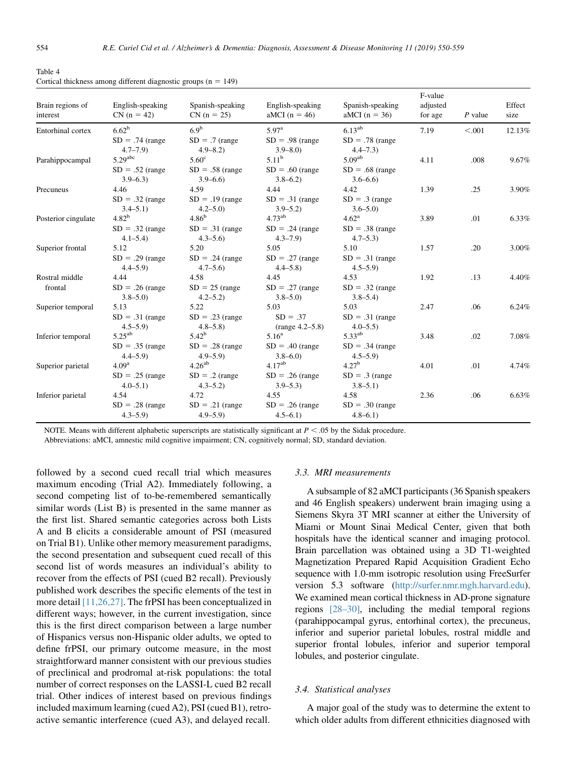<span id="page-4-0"></span>Table 4

| Brain regions of<br>interest | English-speaking<br>$CN (n = 42)$    | Spanish-speaking<br>$CN (n = 25)$ | English-speaking<br>aMCI $(n = 46)$ | Spanish-speaking<br>aMCI $(n = 36)$ | F-value<br>adjusted<br>for age | $P$ value | Effect<br>size |
|------------------------------|--------------------------------------|-----------------------------------|-------------------------------------|-------------------------------------|--------------------------------|-----------|----------------|
| Entorhinal cortex            | 6.62 <sup>b</sup>                    | 6.9 <sup>b</sup>                  | $5.97^{\rm a}$                      | $6.13^{ab}$                         | 7.19                           | < 0.001   | 12.13%         |
|                              | $SD = .74$ (range)                   | $SD = .7$ (range                  | $SD = .98$ (range)                  | $SD = .78$ (range                   |                                |           |                |
| Parahippocampal              | $4.7 - 7.9$<br>$5.29$ <sup>abc</sup> | $4.9 - 8.2$<br>$5.60^\circ$       | $3.9 - 8.0$<br>$5.11^{\rm b}$       | $4.4 - 7.3$<br>5.09 <sup>ab</sup>   | 4.11                           | .008      | 9.67%          |
|                              | $SD = .52$ (range                    | $SD = .58$ (range                 | $SD = .60$ (range                   | $SD = .68$ (range                   |                                |           |                |
|                              | $3.9 - 6.3$                          | $3.9 - 6.6$                       | $3.8 - 6.2$                         | $3.6 - 6.6$                         |                                |           |                |
| Precuneus                    | 4.46                                 | 4.59                              | 4.44                                | 4.42                                | 1.39                           | .25       | 3.90%          |
|                              | $SD = .32$ (range                    | $SD = .19$ (range                 | $SD = .31$ (range                   | $SD = .3$ (range                    |                                |           |                |
|                              | $3.4 - 5.1$                          | $4.2 - 5.0$                       | $3.9 - 5.2$                         | $3.6 - 5.0$                         |                                |           |                |
| Posterior cingulate          | $4.82^{b}$                           | $4.86^{b}$                        | $4.73^{ab}$                         | 4.62 <sup>a</sup>                   | 3.89                           | .01       | 6.33%          |
|                              | $SD = .32$ (range                    | $SD = .31$ (range                 | $SD = .24$ (range                   | $SD = .38$ (range                   |                                |           |                |
|                              | $4.1 - 5.4$                          | $4.3 - 5.6$                       | $4.3 - 7.9$                         | $4.7 - 5.3$                         |                                |           |                |
| Superior frontal             | 5.12                                 | 5.20                              | 5.05                                | 5.10                                | 1.57                           | .20       | 3.00%          |
|                              | $SD = .29$ (range                    | $SD = .24$ (range                 | $SD = .27$ (range                   | $SD = .31$ (range                   |                                |           |                |
|                              | $4.4 - 5.9$                          | $4.7 - 5.6$                       | $4.4 - 5.8$                         | $4.5 - 5.9$                         |                                |           |                |
| Rostral middle               | 4.44                                 | 4.58                              | 4.45                                | 4.53                                | 1.92                           | .13       | 4.40%          |
| frontal                      | $SD = .26$ (range                    | $SD = 25$ (range                  | $SD = .27$ (range)                  | $SD = .32$ (range                   |                                |           |                |
|                              | $3.8 - 5.0$                          | $4.2 - 5.2$                       | $3.8 - 5.0$                         | $3.8 - 5.4$                         |                                |           |                |
| Superior temporal            | 5.13                                 | 5.22                              | 5.03                                | 5.03                                | 2.47                           | .06       | 6.24%          |
|                              | $SD = .31$ (range                    | $SD = .23$ (range                 | $SD = .37$                          | $SD = .31$ (range                   |                                |           |                |
|                              | $4.5 - 5.9$                          | $4.8 - 5.8$                       | $(range 4.2 - 5.8)$                 | $4.0 - 5.5$                         |                                |           |                |
| Inferior temporal            | $5.25^{ab}$                          | $5.42^b$                          | $5.16^{\rm a}$                      | $5.33^{ab}$                         | 3.48                           | .02       | 7.08%          |
|                              | $SD = .35$ (range                    | $SD = .28$ (range                 | $SD = .40$ (range                   | $SD = .34$ (range                   |                                |           |                |
|                              | $4.4 - 5.9$                          | $4.9 - 5.9$                       | $3.8 - 6.0$                         | $4.5 - 5.9$                         |                                |           |                |
| Superior parietal            | 4.09 <sup>a</sup>                    | $4.26^{ab}$                       | $4.17^{ab}$                         | 4.27 <sup>b</sup>                   | 4.01                           | .01       | 4.74%          |
|                              | $SD = .25$ (range                    | $SD = .2$ (range                  | $SD = .26$ (range                   | $SD = .3$ (range                    |                                |           |                |
|                              | $4.0 - 5.1$                          | $4.3 - 5.2$                       | $3.9 - 5.3$                         | $3.8 - 5.1$                         |                                |           |                |
| Inferior parietal            | 4.54                                 | 4.72                              | 4.55                                | 4.58                                | 2.36                           | .06       | 6.63%          |
|                              | $SD = .28$ (range                    | $SD = .21$ (range                 | $SD = .26$ (range                   | $SD = .30$ (range                   |                                |           |                |
|                              | $4.3 - 5.9$                          | $4.9 - 5.9$                       | $4.5 - 6.1$                         | $4.8 - 6.1$                         |                                |           |                |

Cortical thickness among different diagnostic groups  $(n = 149)$ 

NOTE. Means with different alphabetic superscripts are statistically significant at  $P < .05$  by the Sidak procedure.

Abbreviations: aMCI, amnestic mild cognitive impairment; CN, cognitively normal; SD, standard deviation.

followed by a second cued recall trial which measures maximum encoding (Trial A2). Immediately following, a second competing list of to-be-remembered semantically similar words (List B) is presented in the same manner as the first list. Shared semantic categories across both Lists A and B elicits a considerable amount of PSI (measured on Trial B1). Unlike other memory measurement paradigms, the second presentation and subsequent cued recall of this second list of words measures an individual's ability to recover from the effects of PSI (cued B2 recall). Previously published work describes the specific elements of the test in more detail [\[11,26,27\]](#page-8-0). The frPSI has been conceptualized in different ways; however, in the current investigation, since this is the first direct comparison between a large number of Hispanics versus non-Hispanic older adults, we opted to define frPSI, our primary outcome measure, in the most straightforward manner consistent with our previous studies of preclinical and prodromal at-risk populations: the total number of correct responses on the LASSI-L cued B2 recall trial. Other indices of interest based on previous findings included maximum learning (cued A2), PSI (cued B1), retroactive semantic interference (cued A3), and delayed recall.

#### 3.3. MRI measurements

A subsample of 82 aMCI participants (36 Spanish speakers and 46 English speakers) underwent brain imaging using a Siemens Skyra 3T MRI scanner at either the University of Miami or Mount Sinai Medical Center, given that both hospitals have the identical scanner and imaging protocol. Brain parcellation was obtained using a 3D T1-weighted Magnetization Prepared Rapid Acquisition Gradient Echo sequence with 1.0-mm isotropic resolution using FreeSurfer version 5.3 software (<http://surfer.nmr.mgh.harvard.edu>). We examined mean cortical thickness in AD-prone signature regions [\[28–30\],](#page-8-0) including the medial temporal regions (parahippocampal gyrus, entorhinal cortex), the precuneus, inferior and superior parietal lobules, rostral middle and superior frontal lobules, inferior and superior temporal lobules, and posterior cingulate.

#### 3.4. Statistical analyses

A major goal of the study was to determine the extent to which older adults from different ethnicities diagnosed with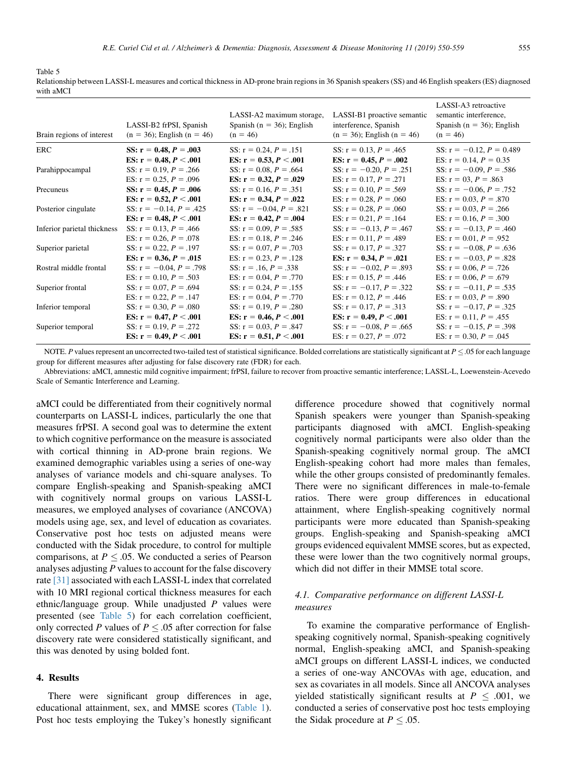Relationship between LASSI-L measures and cortical thickness in AD-prone brain regions in 36 Spanish speakers (SS) and 46 English speakers (ES) diagnosed with aMCI

| Brain regions of interest   | LASSI-B2 frPSI, Spanish<br>$(n = 36)$ ; English $(n = 46)$ | LASSI-A2 maximum storage,<br>Spanish ( $n = 36$ ); English<br>$(n = 46)$ | LASSI-B1 proactive semantic<br>interference, Spanish<br>$(n = 36)$ ; English $(n = 46)$ | LASSI-A3 retroactive<br>semantic interference,<br>Spanish ( $n = 36$ ); English<br>$(n = 46)$ |
|-----------------------------|------------------------------------------------------------|--------------------------------------------------------------------------|-----------------------------------------------------------------------------------------|-----------------------------------------------------------------------------------------------|
| ERC                         | SS: $r = 0.48, P = 0.003$                                  | SS: $r = 0.24$ , $P = .151$                                              | SS: $r = 0.13$ , $P = .465$                                                             | SS: $r = -0.12$ , $P = 0.489$                                                                 |
|                             | ES: $r = 0.48, P < .001$                                   | ES: $r = 0.53, P < .001$                                                 | ES: $r = 0.45, P = 0.002$                                                               | ES: $r = 0.14$ , $P = 0.35$                                                                   |
| Parahippocampal             | SS: $r = 0.19$ , $P = .266$                                | SS: $r = 0.08$ , $P = .664$                                              | SS: $r = -0.20$ , $P = .251$                                                            | SS: $r = -0.09$ , $P = .586$                                                                  |
|                             | ES: $r = 0.25$ , $P = .096$                                | ES: $r = 0.32, P = 0.029$                                                | ES: $r = 0.17$ , $P = .271$                                                             | ES: $r = 03$ , $P = .863$                                                                     |
| Precuneus                   | SS: $r = 0.45, P = 0.06$                                   | SS: $r = 0.16$ , $P = .351$                                              | SS: $r = 0.10, P = .569$                                                                | SS: $r = -0.06$ , $P = .752$                                                                  |
|                             | ES: $r = 0.52, P < .001$                                   | ES: $r = 0.34, P = 0.022$                                                | ES: $r = 0.28$ , $P = .060$                                                             | ES: $r = 0.03$ , $P = .870$                                                                   |
| Posterior cingulate         | SS: $r = -0.14$ , $P = .425$                               | SS: $r = -0.04$ , $P = .821$                                             | SS: $r = 0.28$ , $P = .060$                                                             | SS: $r = 0.03$ , $P = .266$                                                                   |
|                             | ES: $r = 0.48, P < .001$                                   | ES: $r = 0.42, P = 0.04$                                                 | ES: $r = 0.21, P = .164$                                                                | ES: $r = 0.16$ , $P = .300$                                                                   |
| Inferior parietal thickness | SS: $r = 0.13$ , $P = .466$                                | SS: $r = 0.09$ , $P = .585$                                              | SS: $r = -0.13$ , $P = .467$                                                            | SS: $r = -0.13$ , $P = .460$                                                                  |
|                             | ES: $r = 0.26$ , $P = .078$                                | ES: $r = 0.18$ , $P = .246$                                              | ES: $r = 0.11$ , $P = .489$                                                             | ES: $r = 0.01$ , $P = .952$                                                                   |
| Superior parietal           | SS: $r = 0.22$ , $P = .197$                                | SS: $r = 0.07$ , $P = .703$                                              | SS: $r = 0.17, P = .327$                                                                | SS: $r = -0.08$ , $P = .636$                                                                  |
|                             | ES: $r = 0.36, P = .015$                                   | ES: $r = 0.23$ , $P = .128$                                              | ES: $r = 0.34, P = 0.021$                                                               | ES: $r = -0.03$ , $P = .828$                                                                  |
| Rostral middle frontal      | SS: $r = -0.04$ , $P = .798$                               | SS: $r = .16$ , $P = .338$                                               | SS: $r = -0.02$ , $P = .893$                                                            | SS: $r = 0.06$ , $P = .726$                                                                   |
|                             | ES: $r = 0.10$ , $P = .503$                                | ES: $r = 0.04, P = .770$                                                 | ES: $r = 0.15$ , $P = .446$                                                             | ES: $r = 0.06, P = .679$                                                                      |
| Superior frontal            | SS: $r = 0.07$ , $P = .694$                                | SS: $r = 0.24$ , $P = .155$                                              | SS: $r = -0.17$ , $P = .322$                                                            | SS: $r = -0.11$ , $P = .535$                                                                  |
|                             | ES: $r = 0.22$ , $P = .147$                                | ES: $r = 0.04, P = .770$                                                 | ES: $r = 0.12$ , $P = .446$                                                             | ES: $r = 0.03$ , $P = .890$                                                                   |
| Inferior temporal           | SS: $r = 0.30, P = .080$                                   | SS: $r = 0.19$ , $P = .280$                                              | SS: $r = 0.17$ , $P = .313$                                                             | SS: $r = -0.17$ , $P = .325$                                                                  |
|                             | ES: $r = 0.47, P < 0.01$                                   | ES: $r = 0.46, P < .001$                                                 | ES: $r = 0.49, P < .001$                                                                | ES: $r = 0.11$ , $P = .455$                                                                   |
| Superior temporal           | SS: $r = 0.19$ , $P = .272$                                | SS: $r = 0.03$ , $P = .847$                                              | SS: $r = -0.08$ , $P = .665$                                                            | SS: $r = -0.15$ , $P = .398$                                                                  |
|                             | ES: $r = 0.49, P < 0.001$                                  | ES: $r = 0.51, P < .001$                                                 | ES: $r = 0.27$ , $P = 0.072$                                                            | ES: $r = 0.30, P = .045$                                                                      |

NOTE. P values represent an uncorrected two-tailed test of statistical significance. Bolded correlations are statistically significant at  $P \le 0.05$  for each language group for different measures after adjusting for false discovery rate (FDR) for each.

Abbreviations: aMCI, amnestic mild cognitive impairment; frPSI, failure to recover from proactive semantic interference; LASSL-L, Loewenstein-Acevedo Scale of Semantic Interference and Learning.

aMCI could be differentiated from their cognitively normal counterparts on LASSI-L indices, particularly the one that measures frPSI. A second goal was to determine the extent to which cognitive performance on the measure is associated with cortical thinning in AD-prone brain regions. We examined demographic variables using a series of one-way analyses of variance models and chi-square analyses. To compare English-speaking and Spanish-speaking aMCI with cognitively normal groups on various LASSI-L measures, we employed analyses of covariance (ANCOVA) models using age, sex, and level of education as covariates. Conservative post hoc tests on adjusted means were conducted with the Sidak procedure, to control for multiple comparisons, at  $P \leq .05$ . We conducted a series of Pearson analyses adjusting  $P$  values to account for the false discovery rate [\[31\]](#page-9-0) associated with each LASSI-L index that correlated with 10 MRI regional cortical thickness measures for each ethnic/language group. While unadjusted  $P$  values were presented (see Table 5) for each correlation coefficient, only corrected P values of  $P \leq .05$  after correction for false discovery rate were considered statistically significant, and this was denoted by using bolded font.

#### 4. Results

<span id="page-5-0"></span>Table 5

There were significant group differences in age, educational attainment, sex, and MMSE scores [\(Table 1](#page-2-0)). Post hoc tests employing the Tukey's honestly significant difference procedure showed that cognitively normal Spanish speakers were younger than Spanish-speaking participants diagnosed with aMCI. English-speaking cognitively normal participants were also older than the Spanish-speaking cognitively normal group. The aMCI English-speaking cohort had more males than females, while the other groups consisted of predominantly females. There were no significant differences in male-to-female ratios. There were group differences in educational attainment, where English-speaking cognitively normal participants were more educated than Spanish-speaking groups. English-speaking and Spanish-speaking aMCI groups evidenced equivalent MMSE scores, but as expected, these were lower than the two cognitively normal groups, which did not differ in their MMSE total score.

## 4.1. Comparative performance on different LASSI-L measures

To examine the comparative performance of Englishspeaking cognitively normal, Spanish-speaking cognitively normal, English-speaking aMCI, and Spanish-speaking aMCI groups on different LASSI-L indices, we conducted a series of one-way ANCOVAs with age, education, and sex as covariates in all models. Since all ANCOVA analyses yielded statistically significant results at  $P \leq .001$ , we conducted a series of conservative post hoc tests employing the Sidak procedure at  $P \leq .05$ .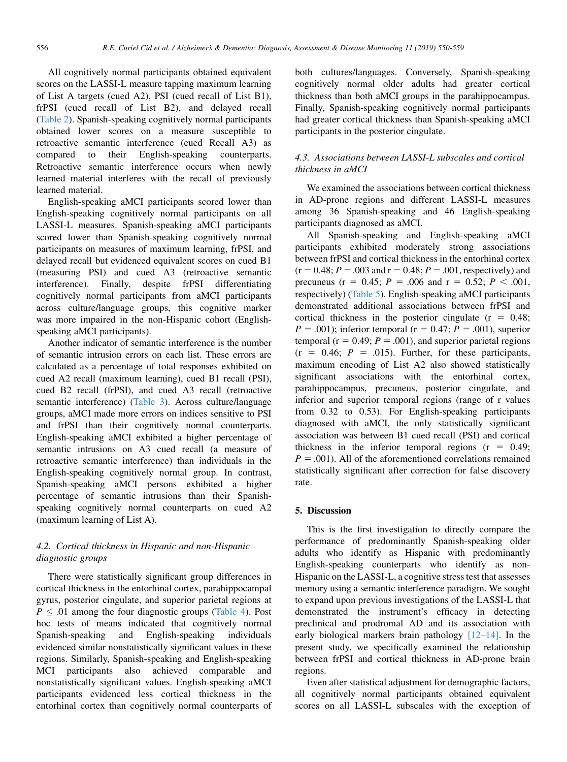All cognitively normal participants obtained equivalent scores on the LASSI-L measure tapping maximum learning of List A targets (cued A2), PSI (cued recall of List B1), frPSI (cued recall of List B2), and delayed recall [\(Table 2\)](#page-3-0). Spanish-speaking cognitively normal participants obtained lower scores on a measure susceptible to retroactive semantic interference (cued Recall A3) as compared to their English-speaking counterparts. Retroactive semantic interference occurs when newly learned material interferes with the recall of previously learned material.

English-speaking aMCI participants scored lower than English-speaking cognitively normal participants on all LASSI-L measures. Spanish-speaking aMCI participants scored lower than Spanish-speaking cognitively normal participants on measures of maximum learning, frPSI, and delayed recall but evidenced equivalent scores on cued B1 (measuring PSI) and cued A3 (retroactive semantic interference). Finally, despite frPSI differentiating cognitively normal participants from aMCI participants across culture/language groups, this cognitive marker was more impaired in the non-Hispanic cohort (Englishspeaking aMCI participants).

Another indicator of semantic interference is the number of semantic intrusion errors on each list. These errors are calculated as a percentage of total responses exhibited on cued A2 recall (maximum learning), cued B1 recall (PSI), cued B2 recall (frPSI), and cued A3 recall (retroactive semantic interference) ([Table 3](#page-3-0)). Across culture/language groups, aMCI made more errors on indices sensitive to PSI and frPSI than their cognitively normal counterparts. English-speaking aMCI exhibited a higher percentage of semantic intrusions on A3 cued recall (a measure of retroactive semantic interference) than individuals in the English-speaking cognitively normal group. In contrast, Spanish-speaking aMCI persons exhibited a higher percentage of semantic intrusions than their Spanishspeaking cognitively normal counterparts on cued A2 (maximum learning of List A).

## 4.2. Cortical thickness in Hispanic and non-Hispanic diagnostic groups

There were statistically significant group differences in cortical thickness in the entorhinal cortex, parahippocampal gyrus, posterior cingulate, and superior parietal regions at  $P \leq .01$  among the four diagnostic groups ([Table 4](#page-4-0)). Post hoc tests of means indicated that cognitively normal Spanish-speaking and English-speaking individuals evidenced similar nonstatistically significant values in these regions. Similarly, Spanish-speaking and English-speaking MCI participants also achieved comparable and nonstatistically significant values. English-speaking aMCI participants evidenced less cortical thickness in the entorhinal cortex than cognitively normal counterparts of both cultures/languages. Conversely, Spanish-speaking cognitively normal older adults had greater cortical thickness than both aMCI groups in the parahippocampus. Finally, Spanish-speaking cognitively normal participants had greater cortical thickness than Spanish-speaking aMCI participants in the posterior cingulate.

## 4.3. Associations between LASSI-L subscales and cortical thickness in aMCI

We examined the associations between cortical thickness in AD-prone regions and different LASSI-L measures among 36 Spanish-speaking and 46 English-speaking participants diagnosed as aMCI.

All Spanish-speaking and English-speaking aMCI participants exhibited moderately strong associations between frPSI and cortical thickness in the entorhinal cortex  $(r = 0.48; P = .003$  and  $r = 0.48; P = .001$ , respectively) and precuneus (r = 0.45;  $P = .006$  and r = 0.52;  $P < .001$ , respectively) [\(Table 5\)](#page-5-0). English-speaking aMCI participants demonstrated additional associations between frPSI and cortical thickness in the posterior cingulate  $(r = 0.48;$  $P = .001$ ; inferior temporal (r = 0.47;  $P = .001$ ), superior temporal ( $r = 0.49$ ;  $P = .001$ ), and superior parietal regions  $(r = 0.46; P = .015)$ . Further, for these participants, maximum encoding of List A2 also showed statistically significant associations with the entorhinal cortex, parahippocampus, precuneus, posterior cingulate, and inferior and superior temporal regions (range of r values from 0.32 to 0.53). For English-speaking participants diagnosed with aMCI, the only statistically significant association was between B1 cued recall (PSI) and cortical thickness in the inferior temporal regions  $(r = 0.49)$ ;  $P = .001$ ). All of the aforementioned correlations remained statistically significant after correction for false discovery rate.

#### 5. Discussion

This is the first investigation to directly compare the performance of predominantly Spanish-speaking older adults who identify as Hispanic with predominantly English-speaking counterparts who identify as non-Hispanic on the LASSI-L, a cognitive stress test that assesses memory using a semantic interference paradigm. We sought to expand upon previous investigations of the LASSI-L that demonstrated the instrument's efficacy in detecting preclinical and prodromal AD and its association with early biological markers brain pathology [\[12–14\]](#page-8-0). In the present study, we specifically examined the relationship between frPSI and cortical thickness in AD-prone brain regions.

Even after statistical adjustment for demographic factors, all cognitively normal participants obtained equivalent scores on all LASSI-L subscales with the exception of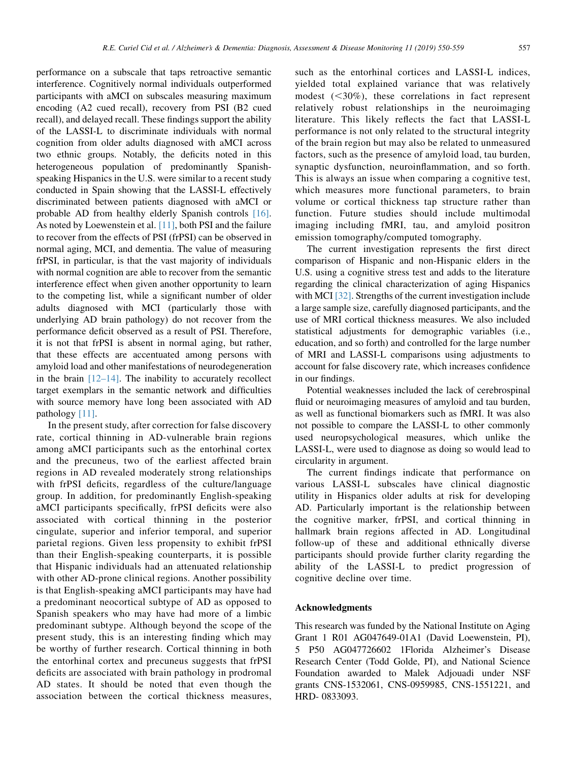performance on a subscale that taps retroactive semantic interference. Cognitively normal individuals outperformed participants with aMCI on subscales measuring maximum encoding (A2 cued recall), recovery from PSI (B2 cued recall), and delayed recall. These findings support the ability of the LASSI-L to discriminate individuals with normal cognition from older adults diagnosed with aMCI across two ethnic groups. Notably, the deficits noted in this heterogeneous population of predominantly Spanishspeaking Hispanics in the U.S. were similar to a recent study conducted in Spain showing that the LASSI-L effectively discriminated between patients diagnosed with aMCI or probable AD from healthy elderly Spanish controls [\[16\].](#page-8-0) As noted by Loewenstein et al. [\[11\],](#page-8-0) both PSI and the failure to recover from the effects of PSI (frPSI) can be observed in normal aging, MCI, and dementia. The value of measuring frPSI, in particular, is that the vast majority of individuals with normal cognition are able to recover from the semantic interference effect when given another opportunity to learn to the competing list, while a significant number of older adults diagnosed with MCI (particularly those with underlying AD brain pathology) do not recover from the performance deficit observed as a result of PSI. Therefore, it is not that frPSI is absent in normal aging, but rather, that these effects are accentuated among persons with amyloid load and other manifestations of neurodegeneration in the brain  $[12-14]$ . The inability to accurately recollect target exemplars in the semantic network and difficulties with source memory have long been associated with AD pathology [\[11\]](#page-8-0).

In the present study, after correction for false discovery rate, cortical thinning in AD-vulnerable brain regions among aMCI participants such as the entorhinal cortex and the precuneus, two of the earliest affected brain regions in AD revealed moderately strong relationships with frPSI deficits, regardless of the culture/language group. In addition, for predominantly English-speaking aMCI participants specifically, frPSI deficits were also associated with cortical thinning in the posterior cingulate, superior and inferior temporal, and superior parietal regions. Given less propensity to exhibit frPSI than their English-speaking counterparts, it is possible that Hispanic individuals had an attenuated relationship with other AD-prone clinical regions. Another possibility is that English-speaking aMCI participants may have had a predominant neocortical subtype of AD as opposed to Spanish speakers who may have had more of a limbic predominant subtype. Although beyond the scope of the present study, this is an interesting finding which may be worthy of further research. Cortical thinning in both the entorhinal cortex and precuneus suggests that frPSI deficits are associated with brain pathology in prodromal AD states. It should be noted that even though the association between the cortical thickness measures,

such as the entorhinal cortices and LASSI-L indices, yielded total explained variance that was relatively modest  $( $30\%$ ), these correlations in fact represent$ relatively robust relationships in the neuroimaging literature. This likely reflects the fact that LASSI-L performance is not only related to the structural integrity of the brain region but may also be related to unmeasured factors, such as the presence of amyloid load, tau burden, synaptic dysfunction, neuroinflammation, and so forth. This is always an issue when comparing a cognitive test, which measures more functional parameters, to brain volume or cortical thickness tap structure rather than function. Future studies should include multimodal imaging including fMRI, tau, and amyloid positron emission tomography/computed tomography.

The current investigation represents the first direct comparison of Hispanic and non-Hispanic elders in the U.S. using a cognitive stress test and adds to the literature regarding the clinical characterization of aging Hispanics with MCI [\[32\]](#page-9-0). Strengths of the current investigation include a large sample size, carefully diagnosed participants, and the use of MRI cortical thickness measures. We also included statistical adjustments for demographic variables (i.e., education, and so forth) and controlled for the large number of MRI and LASSI-L comparisons using adjustments to account for false discovery rate, which increases confidence in our findings.

Potential weaknesses included the lack of cerebrospinal fluid or neuroimaging measures of amyloid and tau burden, as well as functional biomarkers such as fMRI. It was also not possible to compare the LASSI-L to other commonly used neuropsychological measures, which unlike the LASSI-L, were used to diagnose as doing so would lead to circularity in argument.

The current findings indicate that performance on various LASSI-L subscales have clinical diagnostic utility in Hispanics older adults at risk for developing AD. Particularly important is the relationship between the cognitive marker, frPSI, and cortical thinning in hallmark brain regions affected in AD. Longitudinal follow-up of these and additional ethnically diverse participants should provide further clarity regarding the ability of the LASSI-L to predict progression of cognitive decline over time.

## Acknowledgments

This research was funded by the National Institute on Aging Grant 1 R01 AG047649-01A1 (David Loewenstein, PI), 5 P50 AG047726602 1Florida Alzheimer's Disease Research Center (Todd Golde, PI), and National Science Foundation awarded to Malek Adjouadi under NSF grants CNS-1532061, CNS-0959985, CNS-1551221, and HRD- 0833093.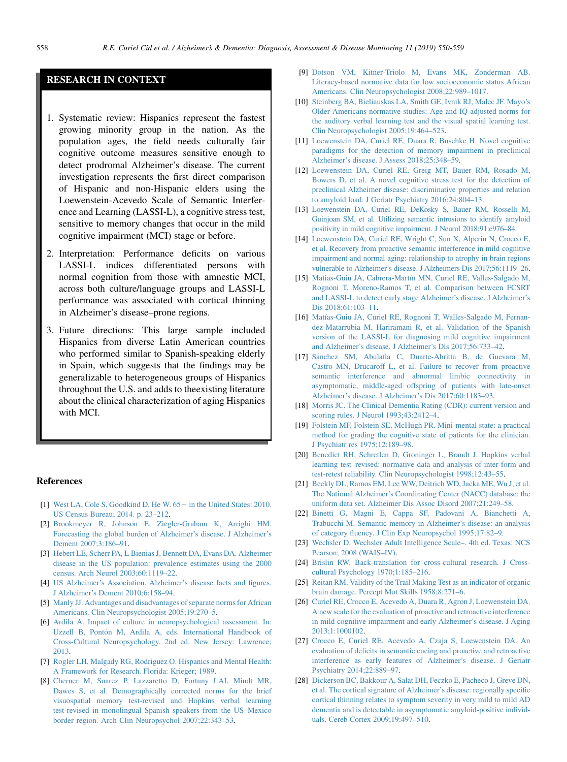## <span id="page-8-0"></span>RESEARCH IN CONTEXT

- 1. Systematic review: Hispanics represent the fastest growing minority group in the nation. As the population ages, the field needs culturally fair cognitive outcome measures sensitive enough to detect prodromal Alzheimer's disease. The current investigation represents the first direct comparison of Hispanic and non-Hispanic elders using the Loewenstein-Acevedo Scale of Semantic Interference and Learning (LASSI-L), a cognitive stress test, sensitive to memory changes that occur in the mild cognitive impairment (MCI) stage or before.
- 2. Interpretation: Performance deficits on various LASSI-L indices differentiated persons with normal cognition from those with amnestic MCI, across both culture/language groups and LASSI-L performance was associated with cortical thinning in Alzheimer's disease–prone regions.
- 3. Future directions: This large sample included Hispanics from diverse Latin American countries who performed similar to Spanish-speaking elderly in Spain, which suggests that the findings may be generalizable to heterogeneous groups of Hispanics throughout the U.S. and adds to theexisting literature about the clinical characterization of aging Hispanics with MCI.

#### References

- [1] [West LA, Cole S, Goodkind D, He W. 65](http://refhub.elsevier.com/S2352-8729(19)30042-9/sref1)+ [in the United States: 2010.](http://refhub.elsevier.com/S2352-8729(19)30042-9/sref1) [US Census Bureau; 2014. p. 23–212](http://refhub.elsevier.com/S2352-8729(19)30042-9/sref1).
- [2] [Brookmeyer R, Johnson E, Ziegler-Graham K, Arrighi HM.](http://refhub.elsevier.com/S2352-8729(19)30042-9/sref2) [Forecasting the global burden of Alzheimer's disease. J Alzheimer's](http://refhub.elsevier.com/S2352-8729(19)30042-9/sref2) [Dement 2007;3:186–91.](http://refhub.elsevier.com/S2352-8729(19)30042-9/sref2)
- [3] [Hebert LE, Scherr PA, L Bienias J, Bennett DA, Evans DA. Alzheimer](http://refhub.elsevier.com/S2352-8729(19)30042-9/sref3) [disease in the US population: prevalence estimates using the 2000](http://refhub.elsevier.com/S2352-8729(19)30042-9/sref3) [census. Arch Neurol 2003;60:1119–22](http://refhub.elsevier.com/S2352-8729(19)30042-9/sref3).
- [4] [US Alzheimer's Association. Alzheimer's disease facts and figures.](http://refhub.elsevier.com/S2352-8729(19)30042-9/sref4) [J Alzheimer's Dement 2010;6:158–94.](http://refhub.elsevier.com/S2352-8729(19)30042-9/sref4)
- [5] [Manly JJ. Advantages and disadvantages of separate norms for African](http://refhub.elsevier.com/S2352-8729(19)30042-9/sref5) [Americans. Clin Neuropsychologist 2005;19:270–5](http://refhub.elsevier.com/S2352-8729(19)30042-9/sref5).
- [6] [Ardila A. Impact of culture in neuropsychological assessment. In:](http://refhub.elsevier.com/S2352-8729(19)30042-9/sref6) [Uzzell B, Pont](http://refhub.elsevier.com/S2352-8729(19)30042-9/sref6)ó[n M, Ardila A, eds. International Handbook of](http://refhub.elsevier.com/S2352-8729(19)30042-9/sref6) [Cross-Cultural Neuropsychology. 2nd ed. New Jersey: Lawrence;](http://refhub.elsevier.com/S2352-8729(19)30042-9/sref6) [2013](http://refhub.elsevier.com/S2352-8729(19)30042-9/sref6).
- [7] [Rogler LH, Malgady RG, Rodriguez O. Hispanics and Mental Health:](http://refhub.elsevier.com/S2352-8729(19)30042-9/sref7) [A Framework for Research. Florida: Krieger; 1989.](http://refhub.elsevier.com/S2352-8729(19)30042-9/sref7)
- [8] [Cherner M, Suarez P, Lazzaretto D, Fortuny LAI, Mindt MR,](http://refhub.elsevier.com/S2352-8729(19)30042-9/sref8) [Dawes S, et al. Demographically corrected norms for the brief](http://refhub.elsevier.com/S2352-8729(19)30042-9/sref8) [visuospatial memory test-revised and Hopkins verbal learning](http://refhub.elsevier.com/S2352-8729(19)30042-9/sref8) [test-revised in monolingual Spanish speakers from the US–Mexico](http://refhub.elsevier.com/S2352-8729(19)30042-9/sref8) [border region. Arch Clin Neuropsychol 2007;22:343–53.](http://refhub.elsevier.com/S2352-8729(19)30042-9/sref8)
- [9] [Dotson VM, Kitner-Triolo M, Evans MK, Zonderman AB.](http://refhub.elsevier.com/S2352-8729(19)30042-9/sref9) [Literacy-based normative data for low socioeconomic status African](http://refhub.elsevier.com/S2352-8729(19)30042-9/sref9) [Americans. Clin Neuropsychologist 2008;22:989–1017](http://refhub.elsevier.com/S2352-8729(19)30042-9/sref9).
- [10] [Steinberg BA, Bieliauskas LA, Smith GE, Ivnik RJ, Malec JF. Mayo's](http://refhub.elsevier.com/S2352-8729(19)30042-9/sref10) [Older Americans normative studies: Age-and IQ-adjusted norms for](http://refhub.elsevier.com/S2352-8729(19)30042-9/sref10) [the auditory verbal learning test and the visual spatial learning test.](http://refhub.elsevier.com/S2352-8729(19)30042-9/sref10) [Clin Neuropsychologist 2005;19:464–523.](http://refhub.elsevier.com/S2352-8729(19)30042-9/sref10)
- [11] [Loewenstein DA, Curiel RE, Duara R, Buschke H. Novel cognitive](http://refhub.elsevier.com/S2352-8729(19)30042-9/sref11) [paradigms for the detection of memory impairment in preclinical](http://refhub.elsevier.com/S2352-8729(19)30042-9/sref11) [Alzheimer's disease. J Assess 2018;25:348–59](http://refhub.elsevier.com/S2352-8729(19)30042-9/sref11).
- [12] [Loewenstein DA, Curiel RE, Greig MT, Bauer RM, Rosado M,](http://refhub.elsevier.com/S2352-8729(19)30042-9/sref12) [Bowers D, et al. A novel cognitive stress test for the detection of](http://refhub.elsevier.com/S2352-8729(19)30042-9/sref12) [preclinical Alzheimer disease: discriminative properties and relation](http://refhub.elsevier.com/S2352-8729(19)30042-9/sref12) [to amyloid load. J Geriatr Psychiatry 2016;24:804–13](http://refhub.elsevier.com/S2352-8729(19)30042-9/sref12).
- [13] [Loewenstein DA, Curiel RE, DeKosky S, Bauer RM, Rosselli M,](http://refhub.elsevier.com/S2352-8729(19)30042-9/sref13) [Guinjoan SM, et al. Utilizing semantic intrusions to identify amyloid](http://refhub.elsevier.com/S2352-8729(19)30042-9/sref13) [positivity in mild cognitive impairment. J Neurol 2018;91:e976–84.](http://refhub.elsevier.com/S2352-8729(19)30042-9/sref13)
- [14] [Loewenstein DA, Curiel RE, Wright C, Sun X, Alperin N, Crocco E,](http://refhub.elsevier.com/S2352-8729(19)30042-9/sref14) [et al. Recovery from proactive semantic interference in mild cognitive](http://refhub.elsevier.com/S2352-8729(19)30042-9/sref14) [impairment and normal aging: relationship to atrophy in brain regions](http://refhub.elsevier.com/S2352-8729(19)30042-9/sref14) [vulnerable to Alzheimer's disease. J Alzheimers Dis 2017;56:1119–26](http://refhub.elsevier.com/S2352-8729(19)30042-9/sref14).
- [15] [Matias-Guiu JA, Cabrera-Mart](http://refhub.elsevier.com/S2352-8729(19)30042-9/sref15)í[n MN, Curiel RE, Valles-Salgado M,](http://refhub.elsevier.com/S2352-8729(19)30042-9/sref15) [Rognoni T, Moreno-Ramos T, et al. Comparison between FCSRT](http://refhub.elsevier.com/S2352-8729(19)30042-9/sref15) [and LASSI-L to detect early stage Alzheimer's disease. J Alzheimer's](http://refhub.elsevier.com/S2352-8729(19)30042-9/sref15) [Dis 2018;61:103–11.](http://refhub.elsevier.com/S2352-8729(19)30042-9/sref15)
- [16] [Mat](http://refhub.elsevier.com/S2352-8729(19)30042-9/sref16)ías-Guiu JA, Curiel RE, Rognoni T, Walles-Salgado M, Fernan[dez-Matarrubia M, Hariramani R, et al. Validation of the Spanish](http://refhub.elsevier.com/S2352-8729(19)30042-9/sref16) [version of the LASSI-L for diagnosing mild cognitive impairment](http://refhub.elsevier.com/S2352-8729(19)30042-9/sref16) [and Alzheimer's disease. J Alzheimer's Dis 2017;56:733–42.](http://refhub.elsevier.com/S2352-8729(19)30042-9/sref16)
- [17] [S](http://refhub.elsevier.com/S2352-8729(19)30042-9/sref17)ánchez SM, Abulafia C, Duarte-Abritta B, de Guevara M, [Castro MN, Drucaroff L, et al. Failure to recover from proactive](http://refhub.elsevier.com/S2352-8729(19)30042-9/sref17) [semantic interference and abnormal limbic connectivity in](http://refhub.elsevier.com/S2352-8729(19)30042-9/sref17) [asymptomatic, middle-aged offspring of patients with late-onset](http://refhub.elsevier.com/S2352-8729(19)30042-9/sref17) [Alzheimer's disease. J Alzheimer's Dis 2017;60:1183–93](http://refhub.elsevier.com/S2352-8729(19)30042-9/sref17).
- [18] [Morris JC. The Clinical Dementia Rating \(CDR\): current version and](http://refhub.elsevier.com/S2352-8729(19)30042-9/sref18) [scoring rules. J Neurol 1993;43:2412–4](http://refhub.elsevier.com/S2352-8729(19)30042-9/sref18).
- [19] [Folstein MF, Folstein SE, McHugh PR. Mini-mental state: a practical](http://refhub.elsevier.com/S2352-8729(19)30042-9/sref19) [method for grading the cognitive state of patients for the clinician.](http://refhub.elsevier.com/S2352-8729(19)30042-9/sref19) [J Psychiatr res 1975;12:189–98.](http://refhub.elsevier.com/S2352-8729(19)30042-9/sref19)
- [20] [Benedict RH, Schretlen D, Groninger L, Brandt J. Hopkins verbal](http://refhub.elsevier.com/S2352-8729(19)30042-9/sref20) [learning test–revised: normative data and analysis of inter-form and](http://refhub.elsevier.com/S2352-8729(19)30042-9/sref20) [test-retest reliability. Clin Neuropsychologist 1998;12:43–55.](http://refhub.elsevier.com/S2352-8729(19)30042-9/sref20)
- [21] [Beekly DL, Ramos EM, Lee WW, Deitrich WD, Jacka ME, Wu J, et al.](http://refhub.elsevier.com/S2352-8729(19)30042-9/sref21) [The National Alzheimer's Coordinating Center \(NACC\) database: the](http://refhub.elsevier.com/S2352-8729(19)30042-9/sref21) [uniform data set. Alzheimer Dis Assoc Disord 2007;21:249–58](http://refhub.elsevier.com/S2352-8729(19)30042-9/sref21).
- [22] [Binetti G, Magni E, Cappa SF, Padovani A, Bianchetti A,](http://refhub.elsevier.com/S2352-8729(19)30042-9/sref22) [Trabucchi M. Semantic memory in Alzheimer's disease: an analysis](http://refhub.elsevier.com/S2352-8729(19)30042-9/sref22) [of category fluency. J Clin Exp Neuropsychol 1995;17:82–9](http://refhub.elsevier.com/S2352-8729(19)30042-9/sref22).
- [23] [Wechsler D. Wechsler Adult Intelligence Scale–. 4th ed. Texas: NCS](http://refhub.elsevier.com/S2352-8729(19)30042-9/sref23) [Pearson; 2008 \(WAIS–IV\).](http://refhub.elsevier.com/S2352-8729(19)30042-9/sref23)
- [24] [Brislin RW. Back-translation for cross-cultural research. J Cross](http://refhub.elsevier.com/S2352-8729(19)30042-9/sref24)[cultural Psychology 1970;1:185–216](http://refhub.elsevier.com/S2352-8729(19)30042-9/sref24).
- [25] [Reitan RM. Validity of the Trail Making Test as an indicator of organic](http://refhub.elsevier.com/S2352-8729(19)30042-9/sref25) [brain damage. Percept Mot Skills 1958;8:271–6](http://refhub.elsevier.com/S2352-8729(19)30042-9/sref25).
- [26] [Curiel RE, Crocco E, Acevedo A, Duara R, Agron J, Loewenstein DA.](http://refhub.elsevier.com/S2352-8729(19)30042-9/sref26) [A new scale for the evaluation of proactive and retroactive interference](http://refhub.elsevier.com/S2352-8729(19)30042-9/sref26) [in mild cognitive impairment and early Alzheimer's disease. J Aging](http://refhub.elsevier.com/S2352-8729(19)30042-9/sref26) [2013;1:1000102](http://refhub.elsevier.com/S2352-8729(19)30042-9/sref26).
- [27] [Crocco E, Curiel RE, Acevedo A, Czaja S, Loewenstein DA. An](http://refhub.elsevier.com/S2352-8729(19)30042-9/sref27) [evaluation of deficits in semantic cueing and proactive and retroactive](http://refhub.elsevier.com/S2352-8729(19)30042-9/sref27) [interference as early features of Alzheimer's disease. J Geriatr](http://refhub.elsevier.com/S2352-8729(19)30042-9/sref27) [Psychiatry 2014;22:889–97](http://refhub.elsevier.com/S2352-8729(19)30042-9/sref27).
- [28] [Dickerson BC, Bakkour A, Salat DH, Feczko E, Pacheco J, Greve DN,](http://refhub.elsevier.com/S2352-8729(19)30042-9/sref28) [et al. The cortical signature of Alzheimer's disease: regionally specific](http://refhub.elsevier.com/S2352-8729(19)30042-9/sref28) [cortical thinning relates to symptom severity in very mild to mild AD](http://refhub.elsevier.com/S2352-8729(19)30042-9/sref28) [dementia and is detectable in asymptomatic amyloid-positive individ](http://refhub.elsevier.com/S2352-8729(19)30042-9/sref28)[uals. Cereb Cortex 2009;19:497–510](http://refhub.elsevier.com/S2352-8729(19)30042-9/sref28).